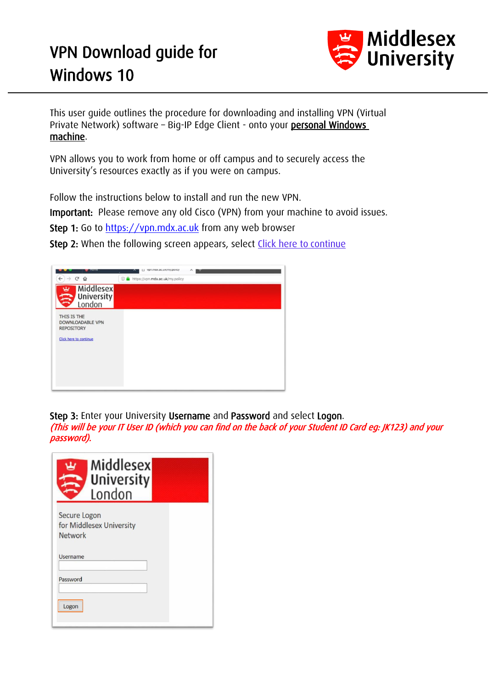## VPN Download guide for Windows 10



This user guide outlines the procedure for downloading and installing VPN (Virtual Private Network) software – Big-IP Edge Client - onto your personal Windows machine.

VPN allows you to work from home or off campus and to securely access the University's resources exactly as if you were on campus.

Follow the instructions below to install and run the new VPN.

Important: Please remove any old Cisco (VPN) from your machine to avoid issues.

Step 1: Go to [https://vpn.mdx.ac.uk](https://vpn.mdx.ac.uk/) from any web browser

Step 2: When the following screen appears, select Click here to continue

|                                                                                       | урп. <i>тах.ас.иклау.ронсу</i><br>ᄉ |
|---------------------------------------------------------------------------------------|-------------------------------------|
| $\rightarrow$ $C$ $\Omega$<br>$\leftarrow$                                            | 4 https://vpn.mdx.ac.uk/my.policy   |
| <b>Middlesex</b><br>ш<br>University<br>ŝ                                              |                                     |
| THIS IS THE<br><b>DOWNLOADABLE VPN</b><br><b>REPOSITORY</b><br>Click here to continue |                                     |

Step 3: Enter your University Username and Password and select Logon.

(This will be your IT User ID (which you can find on the back of your Student ID Card eg: JK123) and your password).

| Middlesex<br><b>University</b><br>London            |
|-----------------------------------------------------|
| Secure Logon<br>for Middlesex University<br>Network |
| Username                                            |
| Password                                            |
| Logon                                               |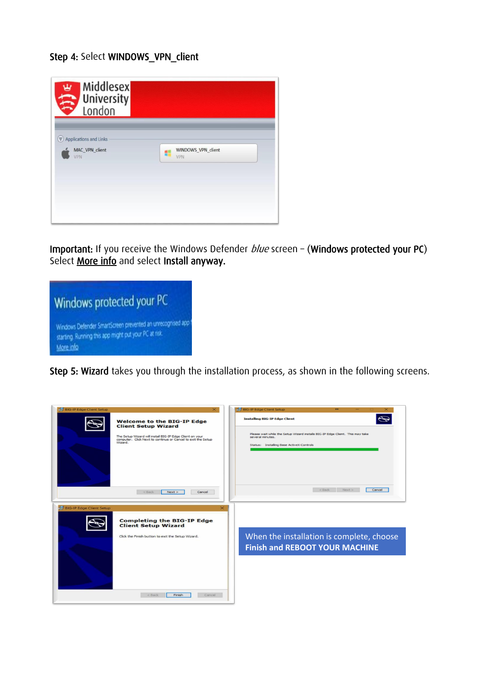## Step 4: Select WINDOWS\_VPN\_client



Important: If you receive the Windows Defender *blue* screen - (Windows protected your PC) Select More info and select Install anyway.



Step 5: Wizard takes you through the installation process, as shown in the following screens.

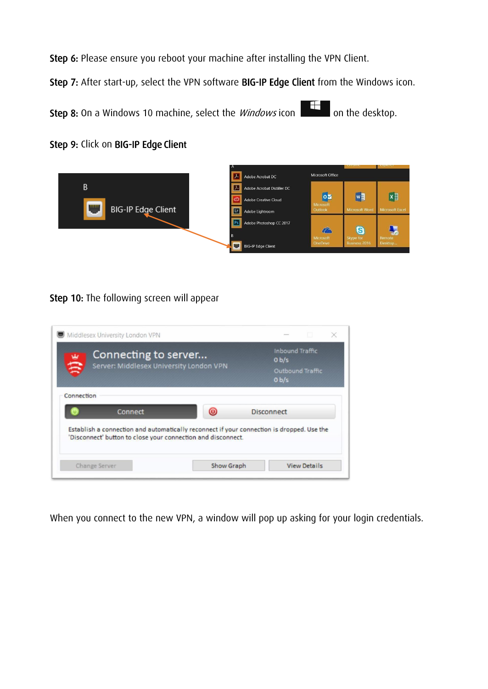Step 6: Please ensure you reboot your machine after installing the VPN Client.

Step 7: After start-up, select the VPN software BIG-IP Edge Client from the Windows icon.

**Step 8:** On a Windows 10 machine, select the *Windows* icon **the desktop.** 

Step 9: Click on BIG-IP Edge Client



## Step 10: The following screen will appear

|            | Middlesex University London VPN                                 |                                                                                           |                   |                                                       | m                |
|------------|-----------------------------------------------------------------|-------------------------------------------------------------------------------------------|-------------------|-------------------------------------------------------|------------------|
| B          | Connecting to server<br>Server: Middlesex University London VPN |                                                                                           |                   | <b>Inbound Traffic</b><br>0 <sub>b/s</sub><br>$0b$ /s | Outbound Traffic |
| Connection | Connect                                                         | $\circledcirc$                                                                            | <b>Disconnect</b> |                                                       |                  |
|            |                                                                 | Establish a connection and automatically reconnect if your connection is dropped. Use the |                   |                                                       |                  |
|            |                                                                 | 'Disconnect' button to close your connection and disconnect.                              |                   |                                                       |                  |

When you connect to the new VPN, a window will pop up asking for your login credentials.